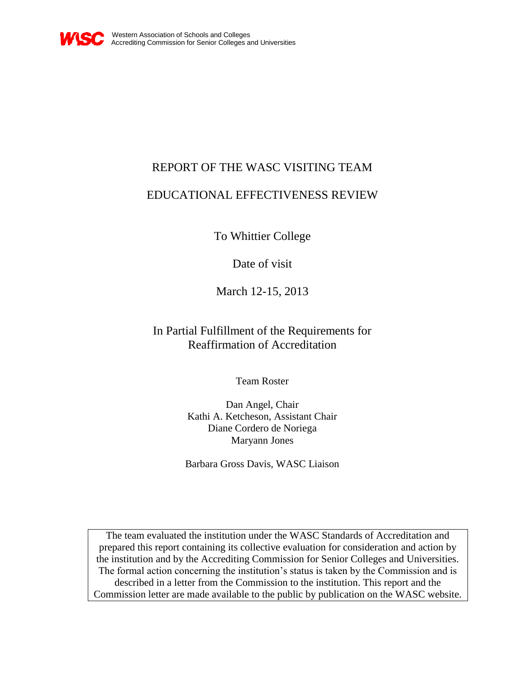

# REPORT OF THE WASC VISITING TEAM

# EDUCATIONAL EFFECTIVENESS REVIEW

To Whittier College

Date of visit

March 12-15, 2013

In Partial Fulfillment of the Requirements for Reaffirmation of Accreditation

Team Roster

Dan Angel, Chair Kathi A. Ketcheson, Assistant Chair Diane Cordero de Noriega Maryann Jones

Barbara Gross Davis, WASC Liaison

The team evaluated the institution under the WASC Standards of Accreditation and prepared this report containing its collective evaluation for consideration and action by the institution and by the Accrediting Commission for Senior Colleges and Universities. The formal action concerning the institution's status is taken by the Commission and is described in a letter from the Commission to the institution. This report and the Commission letter are made available to the public by publication on the WASC website.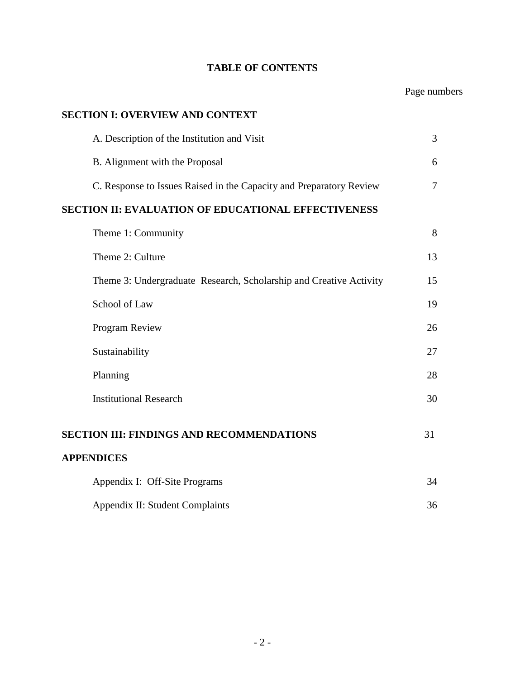# **TABLE OF CONTENTS**

# Page numbers

# **SECTION I: OVERVIEW AND CONTEXT**

| A. Description of the Institution and Visit                         | 3              |
|---------------------------------------------------------------------|----------------|
| B. Alignment with the Proposal                                      | 6              |
| C. Response to Issues Raised in the Capacity and Preparatory Review | $\overline{7}$ |
| <b>SECTION II: EVALUATION OF EDUCATIONAL EFFECTIVENESS</b>          |                |
| Theme 1: Community                                                  | 8              |
| Theme 2: Culture                                                    | 13             |
| Theme 3: Undergraduate Research, Scholarship and Creative Activity  | 15             |
| School of Law                                                       | 19             |
| Program Review                                                      | 26             |
| Sustainability                                                      | 27             |
| Planning                                                            | 28             |
| <b>Institutional Research</b>                                       | 30             |
| <b>SECTION III: FINDINGS AND RECOMMENDATIONS</b>                    | 31             |
| <b>APPENDICES</b>                                                   |                |
| Appendix I: Off-Site Programs                                       | 34             |
| Appendix II: Student Complaints                                     | 36             |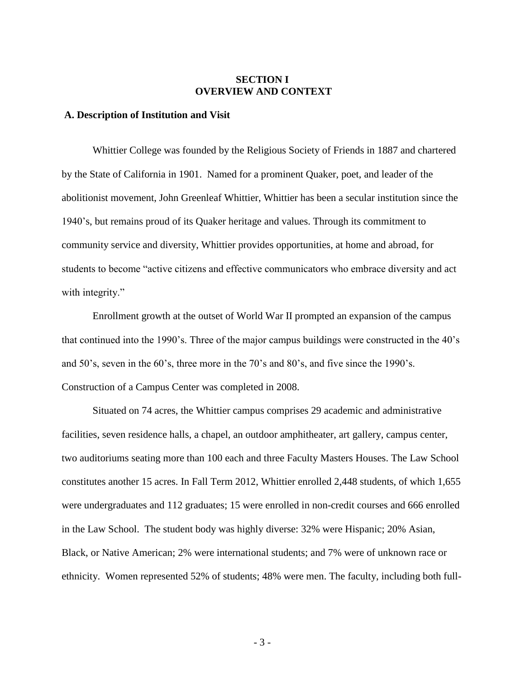## **SECTION I OVERVIEW AND CONTEXT**

## **A. Description of Institution and Visit**

Whittier College was founded by the Religious Society of Friends in 1887 and chartered by the State of California in 1901. Named for a prominent Quaker, poet, and leader of the abolitionist movement, John Greenleaf Whittier, Whittier has been a secular institution since the 1940's, but remains proud of its Quaker heritage and values. Through its commitment to community service and diversity, Whittier provides opportunities, at home and abroad, for students to become "active citizens and effective communicators who embrace diversity and act with integrity."

Enrollment growth at the outset of World War II prompted an expansion of the campus that continued into the 1990's. Three of the major campus buildings were constructed in the 40's and 50's, seven in the 60's, three more in the 70's and 80's, and five since the 1990's. Construction of a Campus Center was completed in 2008.

Situated on 74 acres, the Whittier campus comprises 29 academic and administrative facilities, seven residence halls, a chapel, an outdoor amphitheater, art gallery, campus center, two auditoriums seating more than 100 each and three Faculty Masters Houses. The Law School constitutes another 15 acres. In Fall Term 2012, Whittier enrolled 2,448 students, of which 1,655 were undergraduates and 112 graduates; 15 were enrolled in non-credit courses and 666 enrolled in the Law School. The student body was highly diverse: 32% were Hispanic; 20% Asian, Black, or Native American; 2% were international students; and 7% were of unknown race or ethnicity. Women represented 52% of students; 48% were men. The faculty, including both full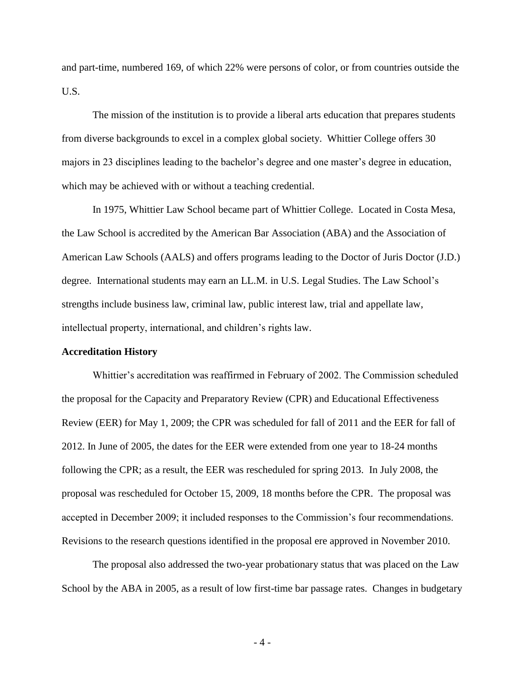and part-time, numbered 169, of which 22% were persons of color, or from countries outside the U.S.

The mission of the institution is to provide a liberal arts education that prepares students from diverse backgrounds to excel in a complex global society. Whittier College offers 30 majors in 23 disciplines leading to the bachelor's degree and one master's degree in education, which may be achieved with or without a teaching credential.

In 1975, Whittier Law School became part of Whittier College. Located in Costa Mesa, the Law School is accredited by the American Bar Association (ABA) and the Association of American Law Schools (AALS) and offers programs leading to the Doctor of Juris Doctor (J.D.) degree. International students may earn an LL.M. in U.S. Legal Studies. The Law School's strengths include business law, criminal law, public interest law, trial and appellate law, intellectual property, international, and children's rights law.

#### **Accreditation History**

Whittier's accreditation was reaffirmed in February of 2002. The Commission scheduled the proposal for the Capacity and Preparatory Review (CPR) and Educational Effectiveness Review (EER) for May 1, 2009; the CPR was scheduled for fall of 2011 and the EER for fall of 2012. In June of 2005, the dates for the EER were extended from one year to 18-24 months following the CPR; as a result, the EER was rescheduled for spring 2013. In July 2008, the proposal was rescheduled for October 15, 2009, 18 months before the CPR. The proposal was accepted in December 2009; it included responses to the Commission's four recommendations. Revisions to the research questions identified in the proposal ere approved in November 2010.

The proposal also addressed the two-year probationary status that was placed on the Law School by the ABA in 2005, as a result of low first-time bar passage rates. Changes in budgetary

- 4 -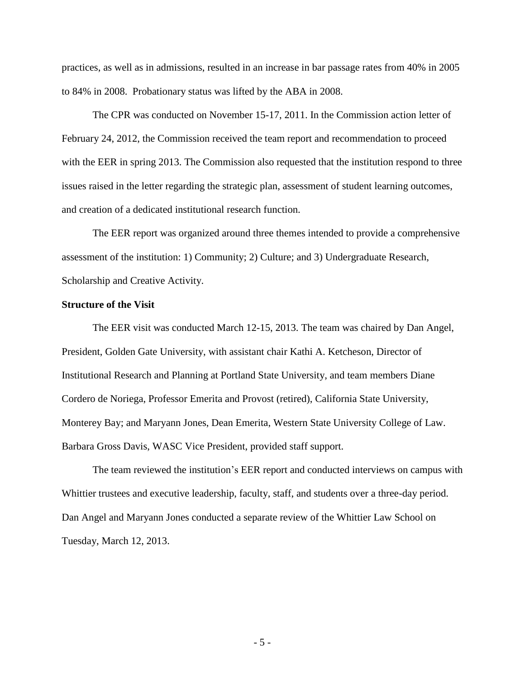practices, as well as in admissions, resulted in an increase in bar passage rates from 40% in 2005 to 84% in 2008. Probationary status was lifted by the ABA in 2008.

The CPR was conducted on November 15-17, 2011. In the Commission action letter of February 24, 2012, the Commission received the team report and recommendation to proceed with the EER in spring 2013. The Commission also requested that the institution respond to three issues raised in the letter regarding the strategic plan, assessment of student learning outcomes, and creation of a dedicated institutional research function.

The EER report was organized around three themes intended to provide a comprehensive assessment of the institution: 1) Community; 2) Culture; and 3) Undergraduate Research, Scholarship and Creative Activity.

#### **Structure of the Visit**

The EER visit was conducted March 12-15, 2013. The team was chaired by Dan Angel, President, Golden Gate University, with assistant chair Kathi A. Ketcheson, Director of Institutional Research and Planning at Portland State University, and team members Diane Cordero de Noriega, Professor Emerita and Provost (retired), California State University, Monterey Bay; and Maryann Jones, Dean Emerita, Western State University College of Law. Barbara Gross Davis, WASC Vice President, provided staff support.

The team reviewed the institution's EER report and conducted interviews on campus with Whittier trustees and executive leadership, faculty, staff, and students over a three-day period. Dan Angel and Maryann Jones conducted a separate review of the Whittier Law School on Tuesday, March 12, 2013.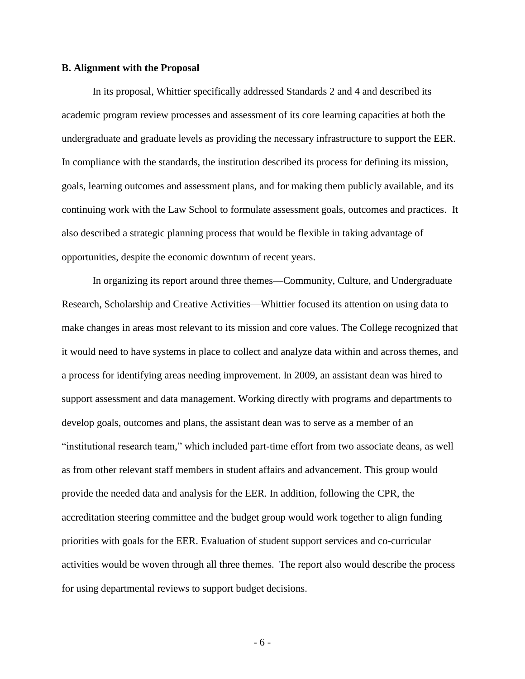#### **B. Alignment with the Proposal**

In its proposal, Whittier specifically addressed Standards 2 and 4 and described its academic program review processes and assessment of its core learning capacities at both the undergraduate and graduate levels as providing the necessary infrastructure to support the EER. In compliance with the standards, the institution described its process for defining its mission, goals, learning outcomes and assessment plans, and for making them publicly available, and its continuing work with the Law School to formulate assessment goals, outcomes and practices. It also described a strategic planning process that would be flexible in taking advantage of opportunities, despite the economic downturn of recent years.

In organizing its report around three themes—Community, Culture, and Undergraduate Research, Scholarship and Creative Activities—Whittier focused its attention on using data to make changes in areas most relevant to its mission and core values. The College recognized that it would need to have systems in place to collect and analyze data within and across themes, and a process for identifying areas needing improvement. In 2009, an assistant dean was hired to support assessment and data management. Working directly with programs and departments to develop goals, outcomes and plans, the assistant dean was to serve as a member of an ―institutional research team,‖ which included part-time effort from two associate deans, as well as from other relevant staff members in student affairs and advancement. This group would provide the needed data and analysis for the EER. In addition, following the CPR, the accreditation steering committee and the budget group would work together to align funding priorities with goals for the EER. Evaluation of student support services and co-curricular activities would be woven through all three themes. The report also would describe the process for using departmental reviews to support budget decisions.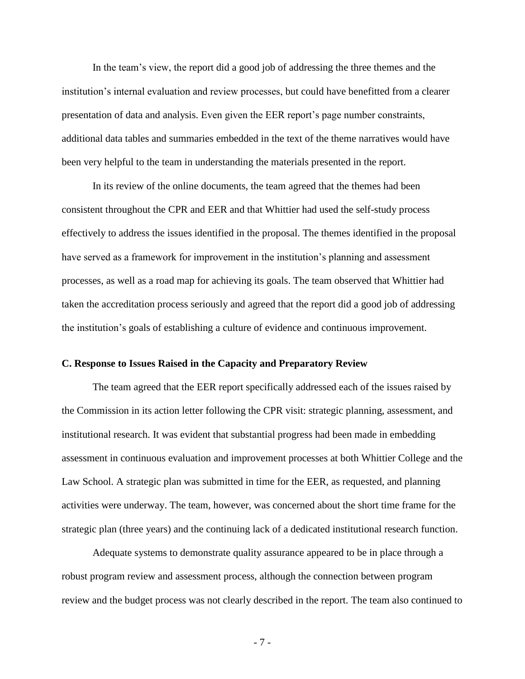In the team's view, the report did a good job of addressing the three themes and the institution's internal evaluation and review processes, but could have benefitted from a clearer presentation of data and analysis. Even given the EER report's page number constraints, additional data tables and summaries embedded in the text of the theme narratives would have been very helpful to the team in understanding the materials presented in the report.

In its review of the online documents, the team agreed that the themes had been consistent throughout the CPR and EER and that Whittier had used the self-study process effectively to address the issues identified in the proposal. The themes identified in the proposal have served as a framework for improvement in the institution's planning and assessment processes, as well as a road map for achieving its goals. The team observed that Whittier had taken the accreditation process seriously and agreed that the report did a good job of addressing the institution's goals of establishing a culture of evidence and continuous improvement.

#### **C. Response to Issues Raised in the Capacity and Preparatory Review**

The team agreed that the EER report specifically addressed each of the issues raised by the Commission in its action letter following the CPR visit: strategic planning, assessment, and institutional research. It was evident that substantial progress had been made in embedding assessment in continuous evaluation and improvement processes at both Whittier College and the Law School. A strategic plan was submitted in time for the EER, as requested, and planning activities were underway. The team, however, was concerned about the short time frame for the strategic plan (three years) and the continuing lack of a dedicated institutional research function.

Adequate systems to demonstrate quality assurance appeared to be in place through a robust program review and assessment process, although the connection between program review and the budget process was not clearly described in the report. The team also continued to

- 7 -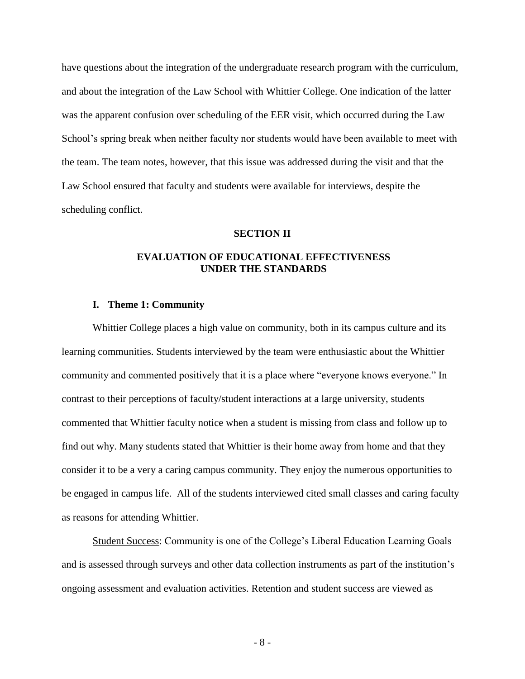have questions about the integration of the undergraduate research program with the curriculum, and about the integration of the Law School with Whittier College. One indication of the latter was the apparent confusion over scheduling of the EER visit, which occurred during the Law School's spring break when neither faculty nor students would have been available to meet with the team. The team notes, however, that this issue was addressed during the visit and that the Law School ensured that faculty and students were available for interviews, despite the scheduling conflict.

#### **SECTION II**

## **EVALUATION OF EDUCATIONAL EFFECTIVENESS UNDER THE STANDARDS**

#### **I. Theme 1: Community**

Whittier College places a high value on community, both in its campus culture and its learning communities. Students interviewed by the team were enthusiastic about the Whittier community and commented positively that it is a place where "everyone knows everyone." In contrast to their perceptions of faculty/student interactions at a large university, students commented that Whittier faculty notice when a student is missing from class and follow up to find out why. Many students stated that Whittier is their home away from home and that they consider it to be a very a caring campus community. They enjoy the numerous opportunities to be engaged in campus life. All of the students interviewed cited small classes and caring faculty as reasons for attending Whittier.

Student Success: Community is one of the College's Liberal Education Learning Goals and is assessed through surveys and other data collection instruments as part of the institution's ongoing assessment and evaluation activities. Retention and student success are viewed as

- 8 -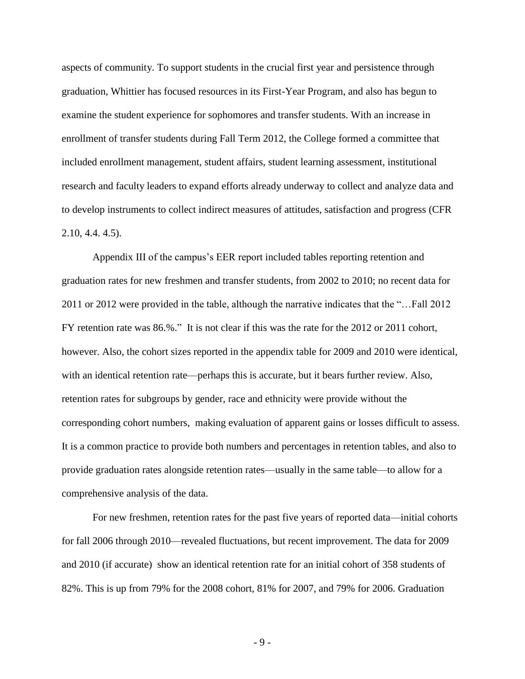aspects of community. To support students in the crucial first year and persistence through graduation, Whittier has focused resources in its First-Year Program, and also has begun to examine the student experience for sophomores and transfer students. With an increase in enrollment of transfer students during Fall Term 2012, the College formed a committee that included enrollment management, student affairs, student learning assessment, institutional research and faculty leaders to expand efforts already underway to collect and analyze data and to develop instruments to collect indirect measures of attitudes, satisfaction and progress (CFR 2.10, 4.4. 4.5).

Appendix III of the campus's EER report included tables reporting retention and graduation rates for new freshmen and transfer students, from 2002 to 2010; no recent data for 2011 or 2012 were provided in the table, although the narrative indicates that the "...Fall 2012 FY retention rate was 86.%." It is not clear if this was the rate for the 2012 or 2011 cohort, however. Also, the cohort sizes reported in the appendix table for 2009 and 2010 were identical, with an identical retention rate—perhaps this is accurate, but it bears further review. Also, retention rates for subgroups by gender, race and ethnicity were provide without the corresponding cohort numbers, making evaluation of apparent gains or losses difficult to assess. It is a common practice to provide both numbers and percentages in retention tables, and also to provide graduation rates alongside retention rates—usually in the same table—to allow for a comprehensive analysis of the data.

For new freshmen, retention rates for the past five years of reported data—initial cohorts for fall 2006 through 2010—revealed fluctuations, but recent improvement. The data for 2009 and 2010 (if accurate) show an identical retention rate for an initial cohort of 358 students of 82%. This is up from 79% for the 2008 cohort, 81% for 2007, and 79% for 2006. Graduation

- 9 -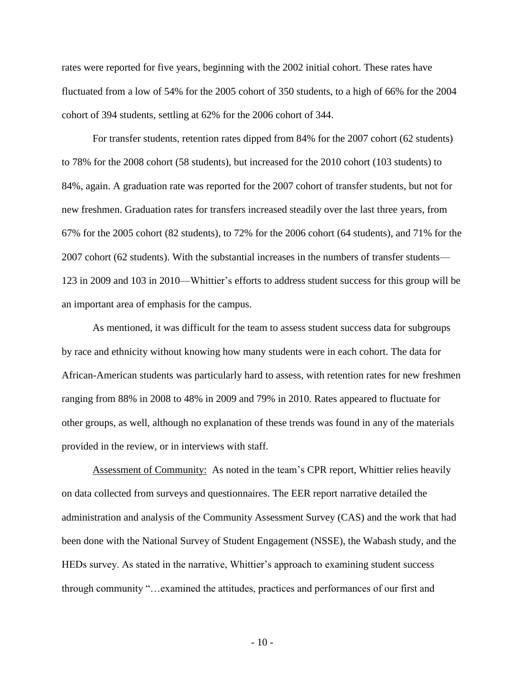rates were reported for five years, beginning with the 2002 initial cohort. These rates have fluctuated from a low of 54% for the 2005 cohort of 350 students, to a high of 66% for the 2004 cohort of 394 students, settling at 62% for the 2006 cohort of 344.

For transfer students, retention rates dipped from 84% for the 2007 cohort (62 students) to 78% for the 2008 cohort (58 students), but increased for the 2010 cohort (103 students) to 84%, again. A graduation rate was reported for the 2007 cohort of transfer students, but not for new freshmen. Graduation rates for transfers increased steadily over the last three years, from 67% for the 2005 cohort (82 students), to 72% for the 2006 cohort (64 students), and 71% for the 2007 cohort (62 students). With the substantial increases in the numbers of transfer students— 123 in 2009 and 103 in 2010—Whittier's efforts to address student success for this group will be an important area of emphasis for the campus.

As mentioned, it was difficult for the team to assess student success data for subgroups by race and ethnicity without knowing how many students were in each cohort. The data for African-American students was particularly hard to assess, with retention rates for new freshmen ranging from 88% in 2008 to 48% in 2009 and 79% in 2010. Rates appeared to fluctuate for other groups, as well, although no explanation of these trends was found in any of the materials provided in the review, or in interviews with staff.

Assessment of Community: As noted in the team's CPR report, Whittier relies heavily on data collected from surveys and questionnaires. The EER report narrative detailed the administration and analysis of the Community Assessment Survey (CAS) and the work that had been done with the National Survey of Student Engagement (NSSE), the Wabash study, and the HEDs survey. As stated in the narrative, Whittier's approach to examining student success through community ―…examined the attitudes, practices and performances of our first and

- 10 -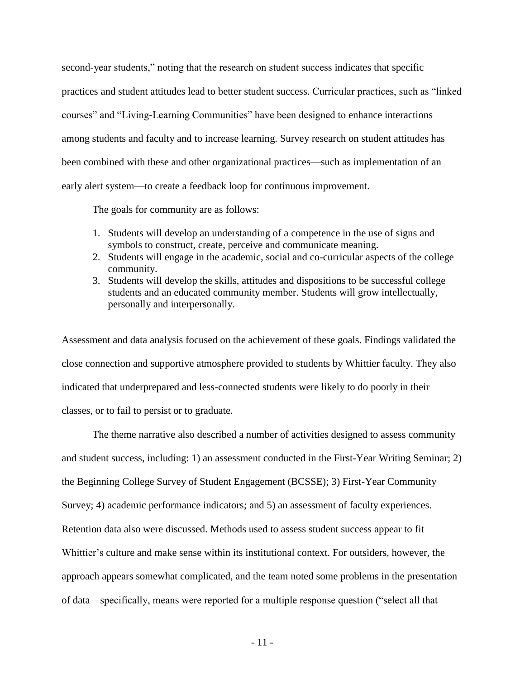second-year students," noting that the research on student success indicates that specific practices and student attitudes lead to better student success. Curricular practices, such as "linked" courses" and "Living-Learning Communities" have been designed to enhance interactions among students and faculty and to increase learning. Survey research on student attitudes has been combined with these and other organizational practices—such as implementation of an early alert system—to create a feedback loop for continuous improvement.

The goals for community are as follows:

- 1. Students will develop an understanding of a competence in the use of signs and symbols to construct, create, perceive and communicate meaning.
- 2. Students will engage in the academic, social and co-curricular aspects of the college community.
- 3. Students will develop the skills, attitudes and dispositions to be successful college students and an educated community member. Students will grow intellectually, personally and interpersonally.

Assessment and data analysis focused on the achievement of these goals. Findings validated the close connection and supportive atmosphere provided to students by Whittier faculty. They also indicated that underprepared and less-connected students were likely to do poorly in their classes, or to fail to persist or to graduate.

The theme narrative also described a number of activities designed to assess community and student success, including: 1) an assessment conducted in the First-Year Writing Seminar; 2) the Beginning College Survey of Student Engagement (BCSSE); 3) First-Year Community Survey; 4) academic performance indicators; and 5) an assessment of faculty experiences. Retention data also were discussed. Methods used to assess student success appear to fit Whittier's culture and make sense within its institutional context. For outsiders, however, the approach appears somewhat complicated, and the team noted some problems in the presentation of data—specifically, means were reported for a multiple response question ("select all that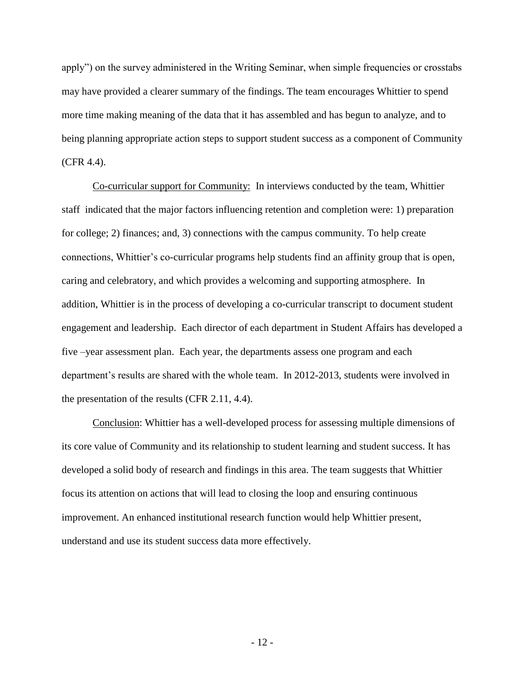apply") on the survey administered in the Writing Seminar, when simple frequencies or crosstabs may have provided a clearer summary of the findings. The team encourages Whittier to spend more time making meaning of the data that it has assembled and has begun to analyze, and to being planning appropriate action steps to support student success as a component of Community (CFR 4.4).

Co-curricular support for Community: In interviews conducted by the team, Whittier staff indicated that the major factors influencing retention and completion were: 1) preparation for college; 2) finances; and, 3) connections with the campus community. To help create connections, Whittier's co-curricular programs help students find an affinity group that is open, caring and celebratory, and which provides a welcoming and supporting atmosphere. In addition, Whittier is in the process of developing a co-curricular transcript to document student engagement and leadership. Each director of each department in Student Affairs has developed a five –year assessment plan. Each year, the departments assess one program and each department's results are shared with the whole team. In 2012-2013, students were involved in the presentation of the results (CFR 2.11, 4.4).

Conclusion: Whittier has a well-developed process for assessing multiple dimensions of its core value of Community and its relationship to student learning and student success. It has developed a solid body of research and findings in this area. The team suggests that Whittier focus its attention on actions that will lead to closing the loop and ensuring continuous improvement. An enhanced institutional research function would help Whittier present, understand and use its student success data more effectively.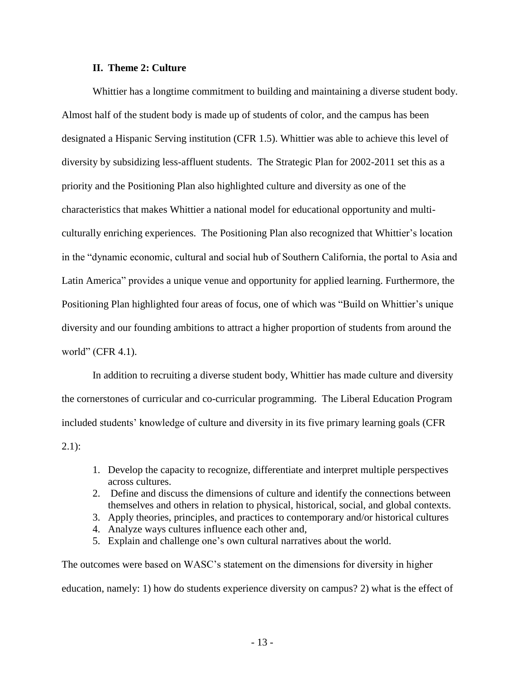## **II. Theme 2: Culture**

Whittier has a longtime commitment to building and maintaining a diverse student body. Almost half of the student body is made up of students of color, and the campus has been designated a Hispanic Serving institution (CFR 1.5). Whittier was able to achieve this level of diversity by subsidizing less-affluent students. The Strategic Plan for 2002-2011 set this as a priority and the Positioning Plan also highlighted culture and diversity as one of the characteristics that makes Whittier a national model for educational opportunity and multiculturally enriching experiences. The Positioning Plan also recognized that Whittier's location in the "dynamic economic, cultural and social hub of Southern California, the portal to Asia and Latin America" provides a unique venue and opportunity for applied learning. Furthermore, the Positioning Plan highlighted four areas of focus, one of which was "Build on Whittier's unique diversity and our founding ambitions to attract a higher proportion of students from around the world" (CFR  $4.1$ ).

In addition to recruiting a diverse student body, Whittier has made culture and diversity the cornerstones of curricular and co-curricular programming. The Liberal Education Program included students' knowledge of culture and diversity in its five primary learning goals (CFR  $2.1$ :

- 1. Develop the capacity to recognize, differentiate and interpret multiple perspectives across cultures.
- 2. Define and discuss the dimensions of culture and identify the connections between themselves and others in relation to physical, historical, social, and global contexts.
- 3. Apply theories, principles, and practices to contemporary and/or historical cultures
- 4. Analyze ways cultures influence each other and,
- 5. Explain and challenge one's own cultural narratives about the world.

The outcomes were based on WASC's statement on the dimensions for diversity in higher education, namely: 1) how do students experience diversity on campus? 2) what is the effect of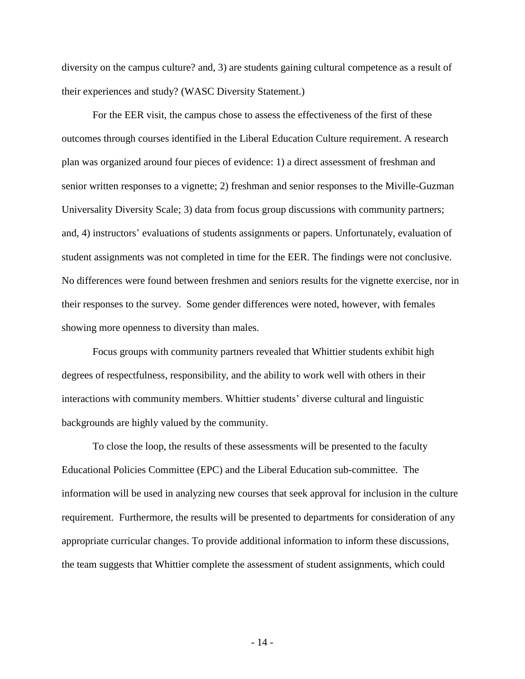diversity on the campus culture? and, 3) are students gaining cultural competence as a result of their experiences and study? (WASC Diversity Statement.)

For the EER visit, the campus chose to assess the effectiveness of the first of these outcomes through courses identified in the Liberal Education Culture requirement. A research plan was organized around four pieces of evidence: 1) a direct assessment of freshman and senior written responses to a vignette; 2) freshman and senior responses to the Miville-Guzman Universality Diversity Scale; 3) data from focus group discussions with community partners; and, 4) instructors' evaluations of students assignments or papers. Unfortunately, evaluation of student assignments was not completed in time for the EER. The findings were not conclusive. No differences were found between freshmen and seniors results for the vignette exercise, nor in their responses to the survey. Some gender differences were noted, however, with females showing more openness to diversity than males.

Focus groups with community partners revealed that Whittier students exhibit high degrees of respectfulness, responsibility, and the ability to work well with others in their interactions with community members. Whittier students' diverse cultural and linguistic backgrounds are highly valued by the community.

To close the loop, the results of these assessments will be presented to the faculty Educational Policies Committee (EPC) and the Liberal Education sub-committee. The information will be used in analyzing new courses that seek approval for inclusion in the culture requirement. Furthermore, the results will be presented to departments for consideration of any appropriate curricular changes. To provide additional information to inform these discussions, the team suggests that Whittier complete the assessment of student assignments, which could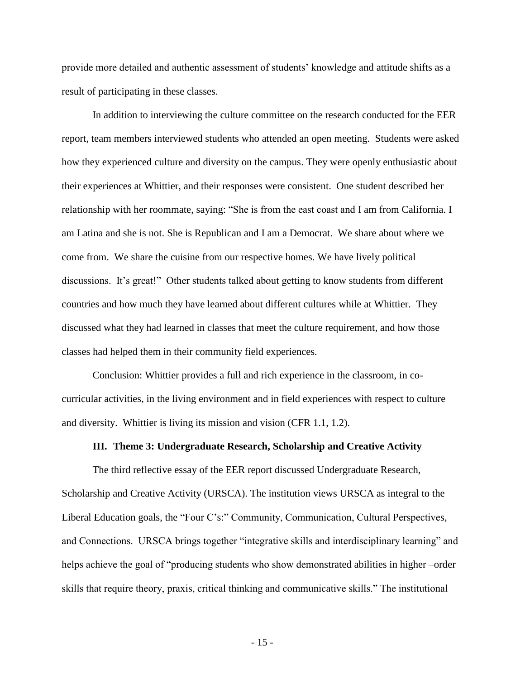provide more detailed and authentic assessment of students' knowledge and attitude shifts as a result of participating in these classes.

In addition to interviewing the culture committee on the research conducted for the EER report, team members interviewed students who attended an open meeting. Students were asked how they experienced culture and diversity on the campus. They were openly enthusiastic about their experiences at Whittier, and their responses were consistent. One student described her relationship with her roommate, saying: "She is from the east coast and I am from California. I am Latina and she is not. She is Republican and I am a Democrat. We share about where we come from. We share the cuisine from our respective homes. We have lively political discussions. It's great!" Other students talked about getting to know students from different countries and how much they have learned about different cultures while at Whittier. They discussed what they had learned in classes that meet the culture requirement, and how those classes had helped them in their community field experiences.

Conclusion: Whittier provides a full and rich experience in the classroom, in cocurricular activities, in the living environment and in field experiences with respect to culture and diversity. Whittier is living its mission and vision (CFR 1.1, 1.2).

#### **III. Theme 3: Undergraduate Research, Scholarship and Creative Activity**

The third reflective essay of the EER report discussed Undergraduate Research, Scholarship and Creative Activity (URSCA). The institution views URSCA as integral to the Liberal Education goals, the "Four C's:" Community, Communication, Cultural Perspectives, and Connections. URSCA brings together "integrative skills and interdisciplinary learning" and helps achieve the goal of "producing students who show demonstrated abilities in higher –order skills that require theory, praxis, critical thinking and communicative skills." The institutional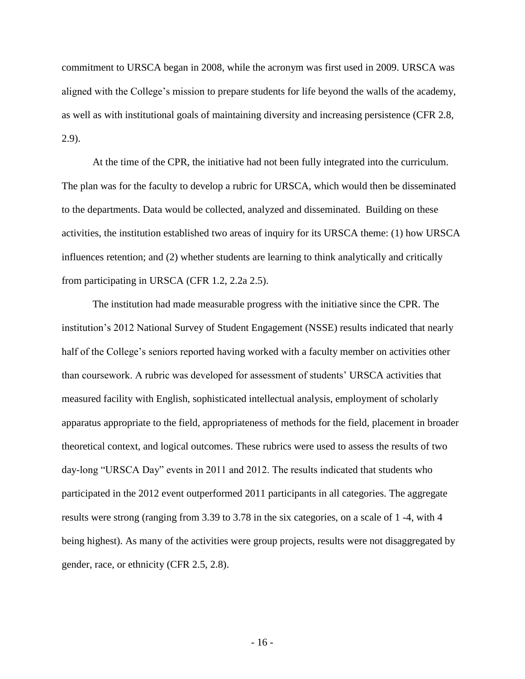commitment to URSCA began in 2008, while the acronym was first used in 2009. URSCA was aligned with the College's mission to prepare students for life beyond the walls of the academy, as well as with institutional goals of maintaining diversity and increasing persistence (CFR 2.8, 2.9).

At the time of the CPR, the initiative had not been fully integrated into the curriculum. The plan was for the faculty to develop a rubric for URSCA, which would then be disseminated to the departments. Data would be collected, analyzed and disseminated. Building on these activities, the institution established two areas of inquiry for its URSCA theme: (1) how URSCA influences retention; and (2) whether students are learning to think analytically and critically from participating in URSCA (CFR 1.2, 2.2a 2.5).

The institution had made measurable progress with the initiative since the CPR. The institution's 2012 National Survey of Student Engagement (NSSE) results indicated that nearly half of the College's seniors reported having worked with a faculty member on activities other than coursework. A rubric was developed for assessment of students' URSCA activities that measured facility with English, sophisticated intellectual analysis, employment of scholarly apparatus appropriate to the field, appropriateness of methods for the field, placement in broader theoretical context, and logical outcomes. These rubrics were used to assess the results of two day-long "URSCA Day" events in 2011 and 2012. The results indicated that students who participated in the 2012 event outperformed 2011 participants in all categories. The aggregate results were strong (ranging from 3.39 to 3.78 in the six categories, on a scale of 1 -4, with 4 being highest). As many of the activities were group projects, results were not disaggregated by gender, race, or ethnicity (CFR 2.5, 2.8).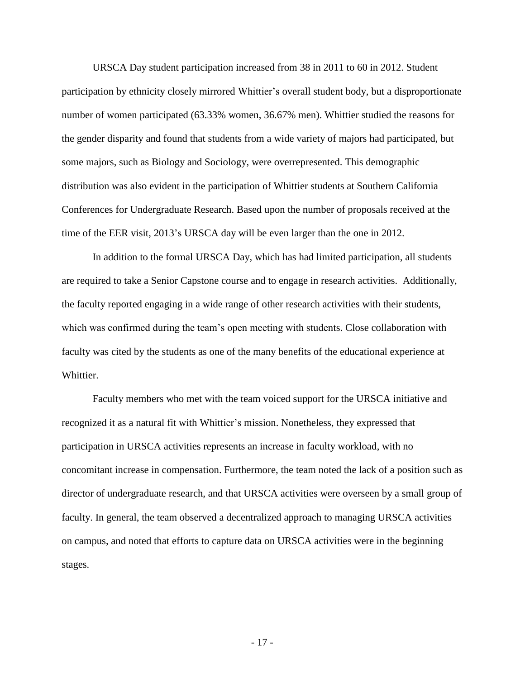URSCA Day student participation increased from 38 in 2011 to 60 in 2012. Student participation by ethnicity closely mirrored Whittier's overall student body, but a disproportionate number of women participated (63.33% women, 36.67% men). Whittier studied the reasons for the gender disparity and found that students from a wide variety of majors had participated, but some majors, such as Biology and Sociology, were overrepresented. This demographic distribution was also evident in the participation of Whittier students at Southern California Conferences for Undergraduate Research. Based upon the number of proposals received at the time of the EER visit, 2013's URSCA day will be even larger than the one in 2012.

In addition to the formal URSCA Day, which has had limited participation, all students are required to take a Senior Capstone course and to engage in research activities. Additionally, the faculty reported engaging in a wide range of other research activities with their students, which was confirmed during the team's open meeting with students. Close collaboration with faculty was cited by the students as one of the many benefits of the educational experience at Whittier.

Faculty members who met with the team voiced support for the URSCA initiative and recognized it as a natural fit with Whittier's mission. Nonetheless, they expressed that participation in URSCA activities represents an increase in faculty workload, with no concomitant increase in compensation. Furthermore, the team noted the lack of a position such as director of undergraduate research, and that URSCA activities were overseen by a small group of faculty. In general, the team observed a decentralized approach to managing URSCA activities on campus, and noted that efforts to capture data on URSCA activities were in the beginning stages.

- 17 -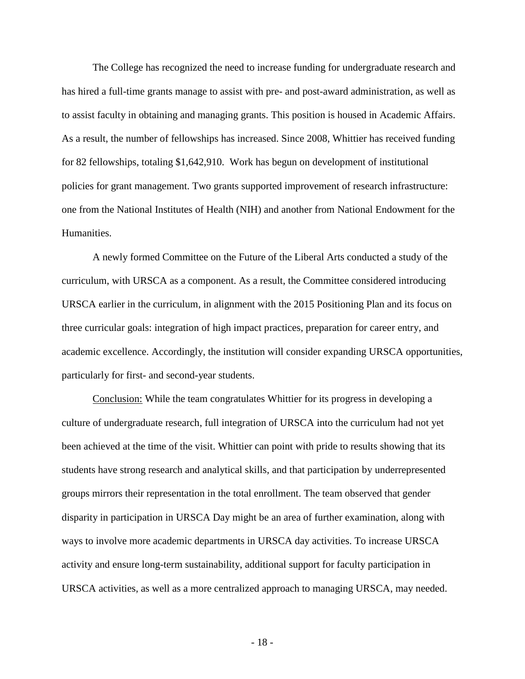The College has recognized the need to increase funding for undergraduate research and has hired a full-time grants manage to assist with pre- and post-award administration, as well as to assist faculty in obtaining and managing grants. This position is housed in Academic Affairs. As a result, the number of fellowships has increased. Since 2008, Whittier has received funding for 82 fellowships, totaling \$1,642,910. Work has begun on development of institutional policies for grant management. Two grants supported improvement of research infrastructure: one from the National Institutes of Health (NIH) and another from National Endowment for the Humanities.

A newly formed Committee on the Future of the Liberal Arts conducted a study of the curriculum, with URSCA as a component. As a result, the Committee considered introducing URSCA earlier in the curriculum, in alignment with the 2015 Positioning Plan and its focus on three curricular goals: integration of high impact practices, preparation for career entry, and academic excellence. Accordingly, the institution will consider expanding URSCA opportunities, particularly for first- and second-year students.

Conclusion: While the team congratulates Whittier for its progress in developing a culture of undergraduate research, full integration of URSCA into the curriculum had not yet been achieved at the time of the visit. Whittier can point with pride to results showing that its students have strong research and analytical skills, and that participation by underrepresented groups mirrors their representation in the total enrollment. The team observed that gender disparity in participation in URSCA Day might be an area of further examination, along with ways to involve more academic departments in URSCA day activities. To increase URSCA activity and ensure long-term sustainability, additional support for faculty participation in URSCA activities, as well as a more centralized approach to managing URSCA, may needed.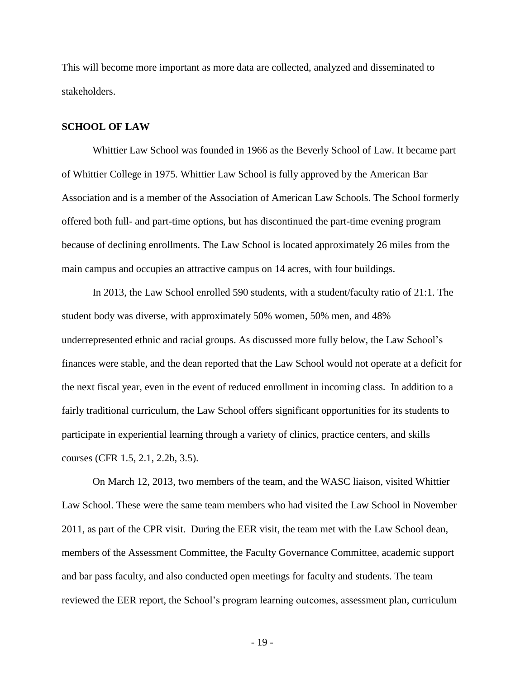This will become more important as more data are collected, analyzed and disseminated to stakeholders.

#### **SCHOOL OF LAW**

Whittier Law School was founded in 1966 as the Beverly School of Law. It became part of Whittier College in 1975. Whittier Law School is fully approved by the American Bar Association and is a member of the Association of American Law Schools. The School formerly offered both full- and part-time options, but has discontinued the part-time evening program because of declining enrollments. The Law School is located approximately 26 miles from the main campus and occupies an attractive campus on 14 acres, with four buildings.

In 2013, the Law School enrolled 590 students, with a student/faculty ratio of 21:1. The student body was diverse, with approximately 50% women, 50% men, and 48% underrepresented ethnic and racial groups. As discussed more fully below, the Law School's finances were stable, and the dean reported that the Law School would not operate at a deficit for the next fiscal year, even in the event of reduced enrollment in incoming class. In addition to a fairly traditional curriculum, the Law School offers significant opportunities for its students to participate in experiential learning through a variety of clinics, practice centers, and skills courses (CFR 1.5, 2.1, 2.2b, 3.5).

On March 12, 2013, two members of the team, and the WASC liaison, visited Whittier Law School. These were the same team members who had visited the Law School in November 2011, as part of the CPR visit. During the EER visit, the team met with the Law School dean, members of the Assessment Committee, the Faculty Governance Committee, academic support and bar pass faculty, and also conducted open meetings for faculty and students. The team reviewed the EER report, the School's program learning outcomes, assessment plan, curriculum

- 19 -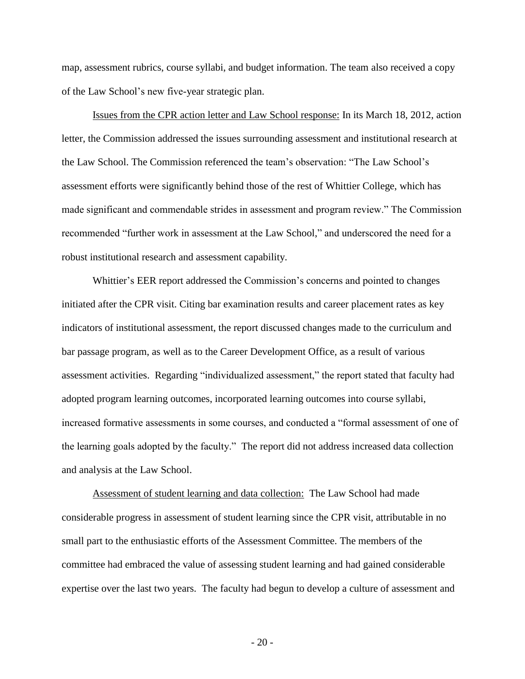map, assessment rubrics, course syllabi, and budget information. The team also received a copy of the Law School's new five-year strategic plan.

Issues from the CPR action letter and Law School response: In its March 18, 2012, action letter, the Commission addressed the issues surrounding assessment and institutional research at the Law School. The Commission referenced the team's observation: "The Law School's assessment efforts were significantly behind those of the rest of Whittier College, which has made significant and commendable strides in assessment and program review." The Commission recommended "further work in assessment at the Law School," and underscored the need for a robust institutional research and assessment capability.

Whittier's EER report addressed the Commission's concerns and pointed to changes initiated after the CPR visit. Citing bar examination results and career placement rates as key indicators of institutional assessment, the report discussed changes made to the curriculum and bar passage program, as well as to the Career Development Office, as a result of various assessment activities. Regarding "individualized assessment," the report stated that faculty had adopted program learning outcomes, incorporated learning outcomes into course syllabi, increased formative assessments in some courses, and conducted a "formal assessment of one of the learning goals adopted by the faculty." The report did not address increased data collection and analysis at the Law School.

Assessment of student learning and data collection: The Law School had made considerable progress in assessment of student learning since the CPR visit, attributable in no small part to the enthusiastic efforts of the Assessment Committee. The members of the committee had embraced the value of assessing student learning and had gained considerable expertise over the last two years. The faculty had begun to develop a culture of assessment and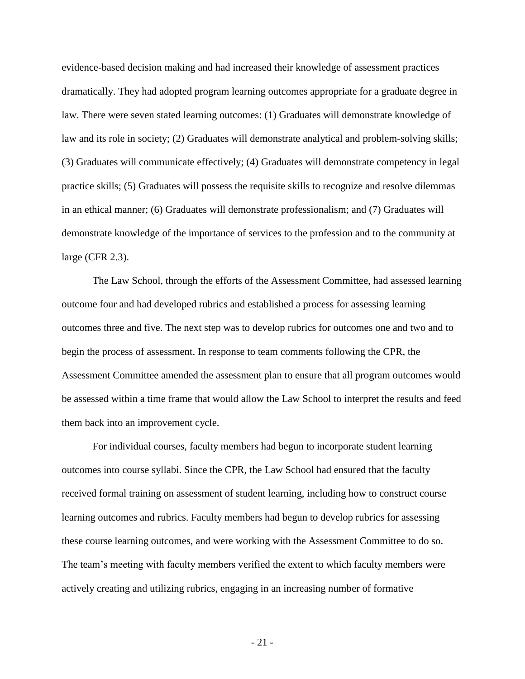evidence-based decision making and had increased their knowledge of assessment practices dramatically. They had adopted program learning outcomes appropriate for a graduate degree in law. There were seven stated learning outcomes: (1) Graduates will demonstrate knowledge of law and its role in society; (2) Graduates will demonstrate analytical and problem-solving skills; (3) Graduates will communicate effectively; (4) Graduates will demonstrate competency in legal practice skills; (5) Graduates will possess the requisite skills to recognize and resolve dilemmas in an ethical manner; (6) Graduates will demonstrate professionalism; and (7) Graduates will demonstrate knowledge of the importance of services to the profession and to the community at large (CFR 2.3).

The Law School, through the efforts of the Assessment Committee, had assessed learning outcome four and had developed rubrics and established a process for assessing learning outcomes three and five. The next step was to develop rubrics for outcomes one and two and to begin the process of assessment. In response to team comments following the CPR, the Assessment Committee amended the assessment plan to ensure that all program outcomes would be assessed within a time frame that would allow the Law School to interpret the results and feed them back into an improvement cycle.

For individual courses, faculty members had begun to incorporate student learning outcomes into course syllabi. Since the CPR, the Law School had ensured that the faculty received formal training on assessment of student learning, including how to construct course learning outcomes and rubrics. Faculty members had begun to develop rubrics for assessing these course learning outcomes, and were working with the Assessment Committee to do so. The team's meeting with faculty members verified the extent to which faculty members were actively creating and utilizing rubrics, engaging in an increasing number of formative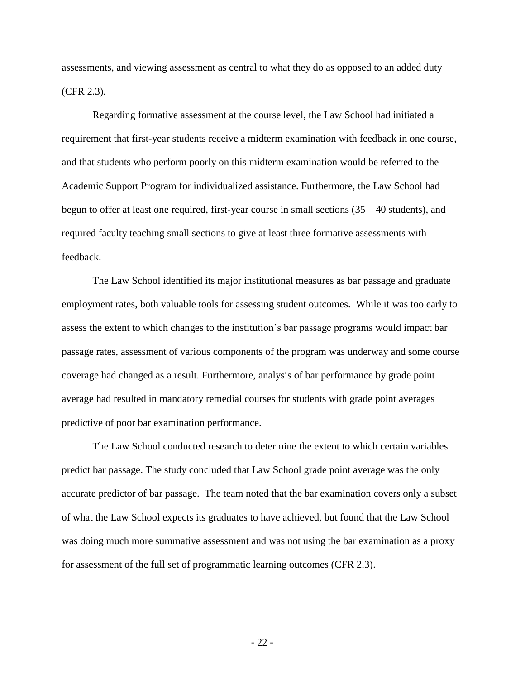assessments, and viewing assessment as central to what they do as opposed to an added duty (CFR 2.3).

Regarding formative assessment at the course level, the Law School had initiated a requirement that first-year students receive a midterm examination with feedback in one course, and that students who perform poorly on this midterm examination would be referred to the Academic Support Program for individualized assistance. Furthermore, the Law School had begun to offer at least one required, first-year course in small sections (35 – 40 students), and required faculty teaching small sections to give at least three formative assessments with feedback.

The Law School identified its major institutional measures as bar passage and graduate employment rates, both valuable tools for assessing student outcomes. While it was too early to assess the extent to which changes to the institution's bar passage programs would impact bar passage rates, assessment of various components of the program was underway and some course coverage had changed as a result. Furthermore, analysis of bar performance by grade point average had resulted in mandatory remedial courses for students with grade point averages predictive of poor bar examination performance.

The Law School conducted research to determine the extent to which certain variables predict bar passage. The study concluded that Law School grade point average was the only accurate predictor of bar passage. The team noted that the bar examination covers only a subset of what the Law School expects its graduates to have achieved, but found that the Law School was doing much more summative assessment and was not using the bar examination as a proxy for assessment of the full set of programmatic learning outcomes (CFR 2.3).

- 22 -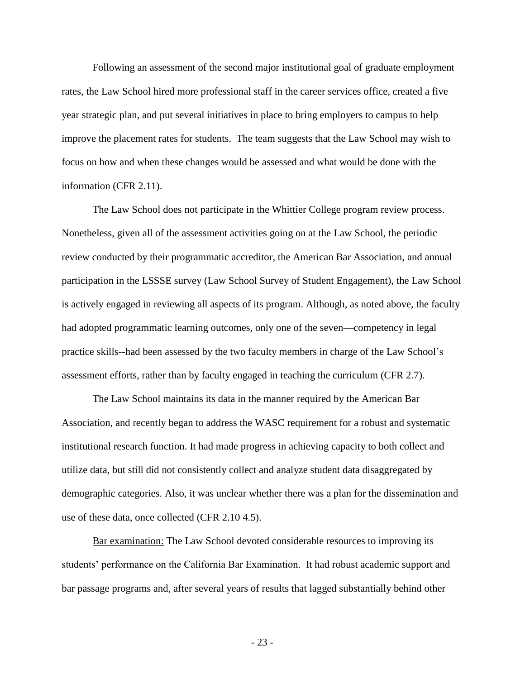Following an assessment of the second major institutional goal of graduate employment rates, the Law School hired more professional staff in the career services office, created a five year strategic plan, and put several initiatives in place to bring employers to campus to help improve the placement rates for students. The team suggests that the Law School may wish to focus on how and when these changes would be assessed and what would be done with the information (CFR 2.11).

The Law School does not participate in the Whittier College program review process. Nonetheless, given all of the assessment activities going on at the Law School, the periodic review conducted by their programmatic accreditor, the American Bar Association, and annual participation in the LSSSE survey (Law School Survey of Student Engagement), the Law School is actively engaged in reviewing all aspects of its program. Although, as noted above, the faculty had adopted programmatic learning outcomes, only one of the seven—competency in legal practice skills--had been assessed by the two faculty members in charge of the Law School's assessment efforts, rather than by faculty engaged in teaching the curriculum (CFR 2.7).

The Law School maintains its data in the manner required by the American Bar Association, and recently began to address the WASC requirement for a robust and systematic institutional research function. It had made progress in achieving capacity to both collect and utilize data, but still did not consistently collect and analyze student data disaggregated by demographic categories. Also, it was unclear whether there was a plan for the dissemination and use of these data, once collected (CFR 2.10 4.5).

Bar examination: The Law School devoted considerable resources to improving its students' performance on the California Bar Examination. It had robust academic support and bar passage programs and, after several years of results that lagged substantially behind other

- 23 -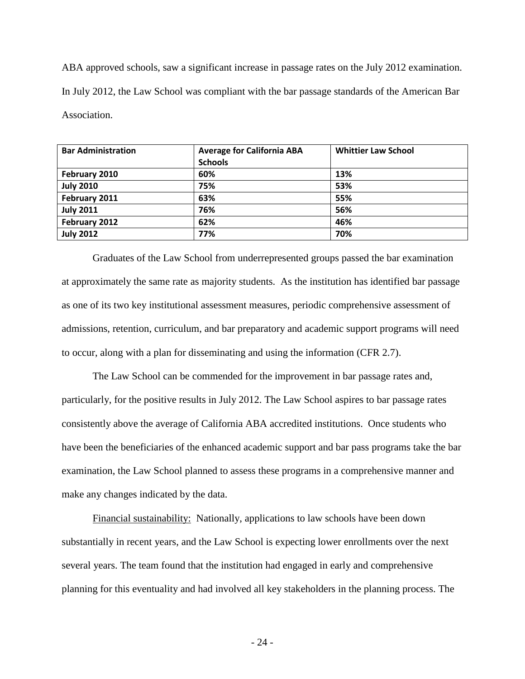ABA approved schools, saw a significant increase in passage rates on the July 2012 examination. In July 2012, the Law School was compliant with the bar passage standards of the American Bar Association.

| <b>Bar Administration</b> | <b>Average for California ABA</b> | <b>Whittier Law School</b> |
|---------------------------|-----------------------------------|----------------------------|
|                           | <b>Schools</b>                    |                            |
| February 2010             | 60%                               | 13%                        |
| <b>July 2010</b>          | 75%                               | 53%                        |
| February 2011             | 63%                               | 55%                        |
| <b>July 2011</b>          | 76%                               | 56%                        |
| February 2012             | 62%                               | 46%                        |
| <b>July 2012</b>          | 77%                               | 70%                        |

Graduates of the Law School from underrepresented groups passed the bar examination at approximately the same rate as majority students. As the institution has identified bar passage as one of its two key institutional assessment measures, periodic comprehensive assessment of admissions, retention, curriculum, and bar preparatory and academic support programs will need to occur, along with a plan for disseminating and using the information (CFR 2.7).

The Law School can be commended for the improvement in bar passage rates and, particularly, for the positive results in July 2012. The Law School aspires to bar passage rates consistently above the average of California ABA accredited institutions. Once students who have been the beneficiaries of the enhanced academic support and bar pass programs take the bar examination, the Law School planned to assess these programs in a comprehensive manner and make any changes indicated by the data.

Financial sustainability: Nationally, applications to law schools have been down substantially in recent years, and the Law School is expecting lower enrollments over the next several years. The team found that the institution had engaged in early and comprehensive planning for this eventuality and had involved all key stakeholders in the planning process. The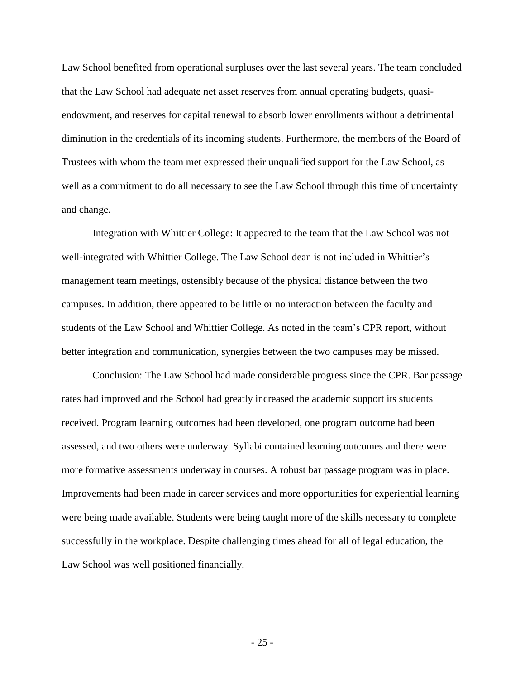Law School benefited from operational surpluses over the last several years. The team concluded that the Law School had adequate net asset reserves from annual operating budgets, quasiendowment, and reserves for capital renewal to absorb lower enrollments without a detrimental diminution in the credentials of its incoming students. Furthermore, the members of the Board of Trustees with whom the team met expressed their unqualified support for the Law School, as well as a commitment to do all necessary to see the Law School through this time of uncertainty and change.

Integration with Whittier College: It appeared to the team that the Law School was not well-integrated with Whittier College. The Law School dean is not included in Whittier's management team meetings, ostensibly because of the physical distance between the two campuses. In addition, there appeared to be little or no interaction between the faculty and students of the Law School and Whittier College. As noted in the team's CPR report, without better integration and communication, synergies between the two campuses may be missed.

Conclusion: The Law School had made considerable progress since the CPR. Bar passage rates had improved and the School had greatly increased the academic support its students received. Program learning outcomes had been developed, one program outcome had been assessed, and two others were underway. Syllabi contained learning outcomes and there were more formative assessments underway in courses. A robust bar passage program was in place. Improvements had been made in career services and more opportunities for experiential learning were being made available. Students were being taught more of the skills necessary to complete successfully in the workplace. Despite challenging times ahead for all of legal education, the Law School was well positioned financially.

- 25 -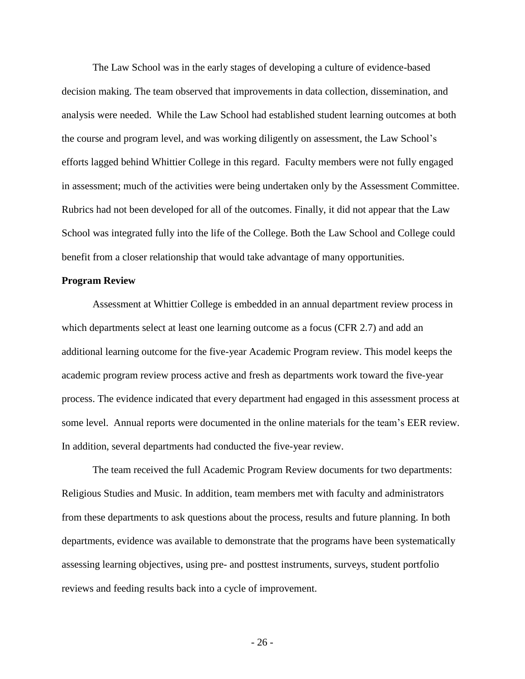The Law School was in the early stages of developing a culture of evidence-based decision making. The team observed that improvements in data collection, dissemination, and analysis were needed. While the Law School had established student learning outcomes at both the course and program level, and was working diligently on assessment, the Law School's efforts lagged behind Whittier College in this regard. Faculty members were not fully engaged in assessment; much of the activities were being undertaken only by the Assessment Committee. Rubrics had not been developed for all of the outcomes. Finally, it did not appear that the Law School was integrated fully into the life of the College. Both the Law School and College could benefit from a closer relationship that would take advantage of many opportunities.

#### **Program Review**

Assessment at Whittier College is embedded in an annual department review process in which departments select at least one learning outcome as a focus (CFR 2.7) and add an additional learning outcome for the five-year Academic Program review. This model keeps the academic program review process active and fresh as departments work toward the five-year process. The evidence indicated that every department had engaged in this assessment process at some level. Annual reports were documented in the online materials for the team's EER review. In addition, several departments had conducted the five-year review.

The team received the full Academic Program Review documents for two departments: Religious Studies and Music. In addition, team members met with faculty and administrators from these departments to ask questions about the process, results and future planning. In both departments, evidence was available to demonstrate that the programs have been systematically assessing learning objectives, using pre- and posttest instruments, surveys, student portfolio reviews and feeding results back into a cycle of improvement.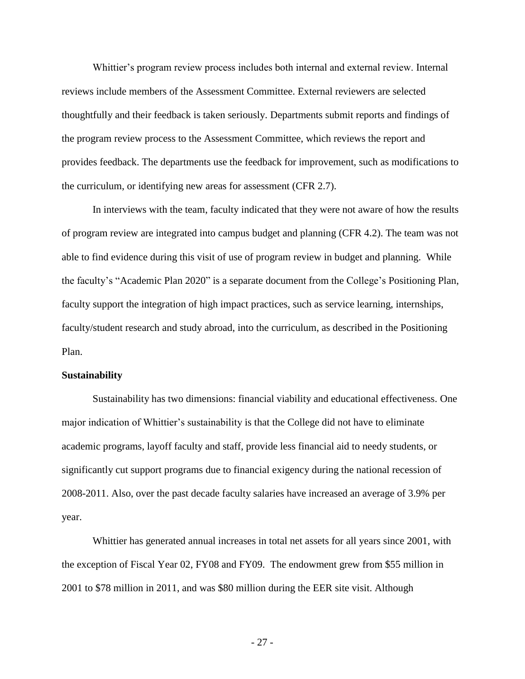Whittier's program review process includes both internal and external review. Internal reviews include members of the Assessment Committee. External reviewers are selected thoughtfully and their feedback is taken seriously. Departments submit reports and findings of the program review process to the Assessment Committee, which reviews the report and provides feedback. The departments use the feedback for improvement, such as modifications to the curriculum, or identifying new areas for assessment (CFR 2.7).

In interviews with the team, faculty indicated that they were not aware of how the results of program review are integrated into campus budget and planning (CFR 4.2). The team was not able to find evidence during this visit of use of program review in budget and planning. While the faculty's "Academic Plan 2020" is a separate document from the College's Positioning Plan, faculty support the integration of high impact practices, such as service learning, internships, faculty/student research and study abroad, into the curriculum, as described in the Positioning Plan.

#### **Sustainability**

Sustainability has two dimensions: financial viability and educational effectiveness. One major indication of Whittier's sustainability is that the College did not have to eliminate academic programs, layoff faculty and staff, provide less financial aid to needy students, or significantly cut support programs due to financial exigency during the national recession of 2008-2011. Also, over the past decade faculty salaries have increased an average of 3.9% per year.

Whittier has generated annual increases in total net assets for all years since 2001, with the exception of Fiscal Year 02, FY08 and FY09. The endowment grew from \$55 million in 2001 to \$78 million in 2011, and was \$80 million during the EER site visit. Although

- 27 -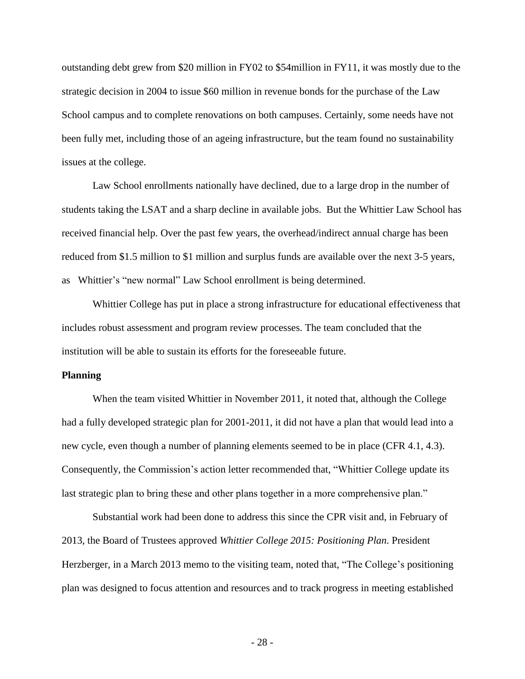outstanding debt grew from \$20 million in FY02 to \$54million in FY11, it was mostly due to the strategic decision in 2004 to issue \$60 million in revenue bonds for the purchase of the Law School campus and to complete renovations on both campuses. Certainly, some needs have not been fully met, including those of an ageing infrastructure, but the team found no sustainability issues at the college.

Law School enrollments nationally have declined, due to a large drop in the number of students taking the LSAT and a sharp decline in available jobs. But the Whittier Law School has received financial help. Over the past few years, the overhead/indirect annual charge has been reduced from \$1.5 million to \$1 million and surplus funds are available over the next 3-5 years, as Whittier's "new normal" Law School enrollment is being determined.

Whittier College has put in place a strong infrastructure for educational effectiveness that includes robust assessment and program review processes. The team concluded that the institution will be able to sustain its efforts for the foreseeable future.

#### **Planning**

When the team visited Whittier in November 2011, it noted that, although the College had a fully developed strategic plan for 2001-2011, it did not have a plan that would lead into a new cycle, even though a number of planning elements seemed to be in place (CFR 4.1, 4.3). Consequently, the Commission's action letter recommended that, "Whittier College update its last strategic plan to bring these and other plans together in a more comprehensive plan."

Substantial work had been done to address this since the CPR visit and, in February of 2013, the Board of Trustees approved *Whittier College 2015: Positioning Plan*. President Herzberger, in a March 2013 memo to the visiting team, noted that, "The College's positioning plan was designed to focus attention and resources and to track progress in meeting established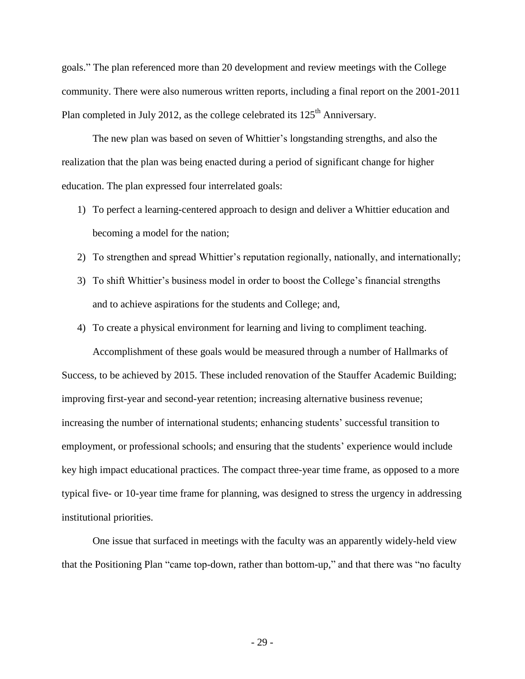goals." The plan referenced more than 20 development and review meetings with the College community. There were also numerous written reports, including a final report on the 2001-2011 Plan completed in July 2012, as the college celebrated its  $125<sup>th</sup>$  Anniversary.

The new plan was based on seven of Whittier's longstanding strengths, and also the realization that the plan was being enacted during a period of significant change for higher education. The plan expressed four interrelated goals:

- 1) To perfect a learning-centered approach to design and deliver a Whittier education and becoming a model for the nation;
- 2) To strengthen and spread Whittier's reputation regionally, nationally, and internationally;
- 3) To shift Whittier's business model in order to boost the College's financial strengths and to achieve aspirations for the students and College; and,
- 4) To create a physical environment for learning and living to compliment teaching.

Accomplishment of these goals would be measured through a number of Hallmarks of Success, to be achieved by 2015. These included renovation of the Stauffer Academic Building; improving first-year and second-year retention; increasing alternative business revenue; increasing the number of international students; enhancing students' successful transition to employment, or professional schools; and ensuring that the students' experience would include key high impact educational practices. The compact three-year time frame, as opposed to a more typical five- or 10-year time frame for planning, was designed to stress the urgency in addressing institutional priorities.

One issue that surfaced in meetings with the faculty was an apparently widely-held view that the Positioning Plan "came top-down, rather than bottom-up," and that there was "no faculty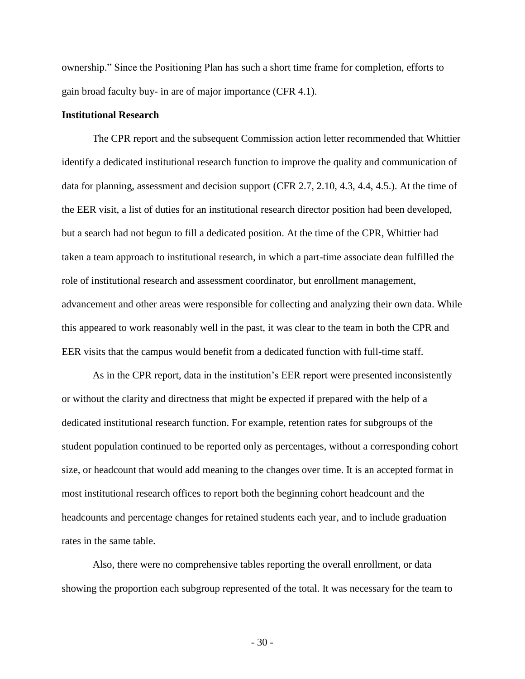ownership." Since the Positioning Plan has such a short time frame for completion, efforts to gain broad faculty buy- in are of major importance (CFR 4.1).

#### **Institutional Research**

The CPR report and the subsequent Commission action letter recommended that Whittier identify a dedicated institutional research function to improve the quality and communication of data for planning, assessment and decision support (CFR 2.7, 2.10, 4.3, 4.4, 4.5.). At the time of the EER visit, a list of duties for an institutional research director position had been developed, but a search had not begun to fill a dedicated position. At the time of the CPR, Whittier had taken a team approach to institutional research, in which a part-time associate dean fulfilled the role of institutional research and assessment coordinator, but enrollment management, advancement and other areas were responsible for collecting and analyzing their own data. While this appeared to work reasonably well in the past, it was clear to the team in both the CPR and EER visits that the campus would benefit from a dedicated function with full-time staff.

As in the CPR report, data in the institution's EER report were presented inconsistently or without the clarity and directness that might be expected if prepared with the help of a dedicated institutional research function. For example, retention rates for subgroups of the student population continued to be reported only as percentages, without a corresponding cohort size, or headcount that would add meaning to the changes over time. It is an accepted format in most institutional research offices to report both the beginning cohort headcount and the headcounts and percentage changes for retained students each year, and to include graduation rates in the same table.

Also, there were no comprehensive tables reporting the overall enrollment, or data showing the proportion each subgroup represented of the total. It was necessary for the team to

- 30 -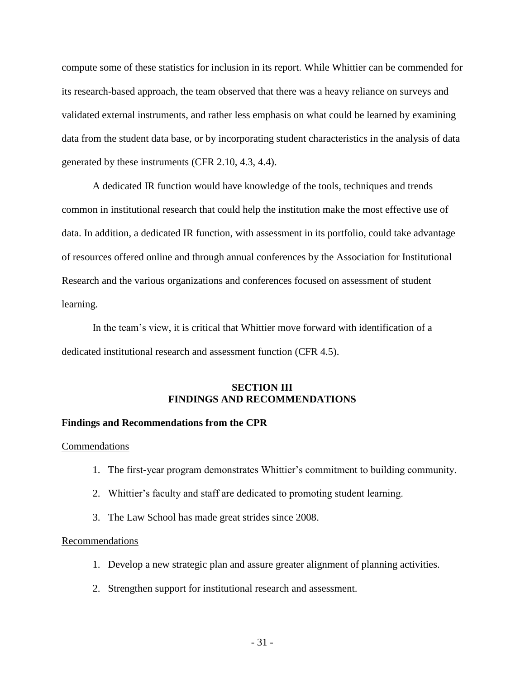compute some of these statistics for inclusion in its report. While Whittier can be commended for its research-based approach, the team observed that there was a heavy reliance on surveys and validated external instruments, and rather less emphasis on what could be learned by examining data from the student data base, or by incorporating student characteristics in the analysis of data generated by these instruments (CFR 2.10, 4.3, 4.4).

A dedicated IR function would have knowledge of the tools, techniques and trends common in institutional research that could help the institution make the most effective use of data. In addition, a dedicated IR function, with assessment in its portfolio, could take advantage of resources offered online and through annual conferences by the Association for Institutional Research and the various organizations and conferences focused on assessment of student learning.

In the team's view, it is critical that Whittier move forward with identification of a dedicated institutional research and assessment function (CFR 4.5).

# **SECTION III FINDINGS AND RECOMMENDATIONS**

## **Findings and Recommendations from the CPR**

#### **Commendations**

- 1. The first-year program demonstrates Whittier's commitment to building community.
- 2. Whittier's faculty and staff are dedicated to promoting student learning.
- 3. The Law School has made great strides since 2008.

#### Recommendations

- 1. Develop a new strategic plan and assure greater alignment of planning activities.
- 2. Strengthen support for institutional research and assessment.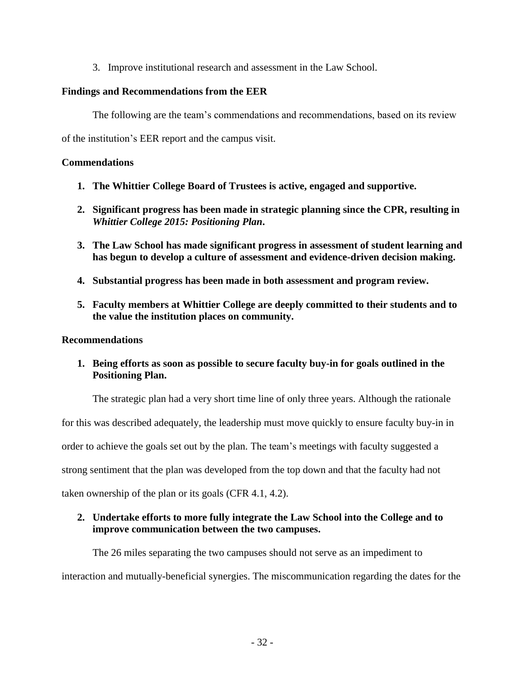3. Improve institutional research and assessment in the Law School.

# **Findings and Recommendations from the EER**

The following are the team's commendations and recommendations, based on its review

of the institution's EER report and the campus visit.

# **Commendations**

- **1. The Whittier College Board of Trustees is active, engaged and supportive.**
- **2. Significant progress has been made in strategic planning since the CPR, resulting in**  *Whittier College 2015: Positioning Plan***.**
- **3. The Law School has made significant progress in assessment of student learning and has begun to develop a culture of assessment and evidence-driven decision making.**
- **4. Substantial progress has been made in both assessment and program review.**
- **5. Faculty members at Whittier College are deeply committed to their students and to the value the institution places on community.**

## **Recommendations**

**1. Being efforts as soon as possible to secure faculty buy-in for goals outlined in the Positioning Plan.**

The strategic plan had a very short time line of only three years. Although the rationale for this was described adequately, the leadership must move quickly to ensure faculty buy-in in order to achieve the goals set out by the plan. The team's meetings with faculty suggested a strong sentiment that the plan was developed from the top down and that the faculty had not taken ownership of the plan or its goals (CFR 4.1, 4.2).

# **2. Undertake efforts to more fully integrate the Law School into the College and to improve communication between the two campuses.**

The 26 miles separating the two campuses should not serve as an impediment to interaction and mutually-beneficial synergies. The miscommunication regarding the dates for the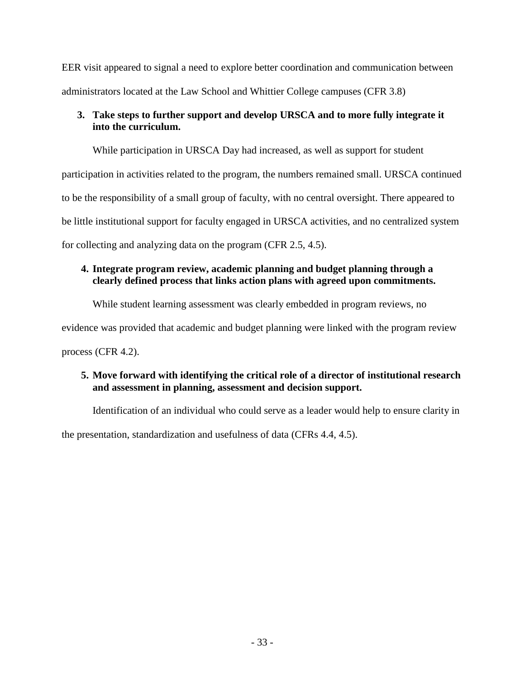EER visit appeared to signal a need to explore better coordination and communication between administrators located at the Law School and Whittier College campuses (CFR 3.8)

# **3. Take steps to further support and develop URSCA and to more fully integrate it into the curriculum.**

While participation in URSCA Day had increased, as well as support for student

participation in activities related to the program, the numbers remained small. URSCA continued to be the responsibility of a small group of faculty, with no central oversight. There appeared to be little institutional support for faculty engaged in URSCA activities, and no centralized system for collecting and analyzing data on the program (CFR 2.5, 4.5).

# **4. Integrate program review, academic planning and budget planning through a clearly defined process that links action plans with agreed upon commitments.**

While student learning assessment was clearly embedded in program reviews, no

evidence was provided that academic and budget planning were linked with the program review

process (CFR 4.2).

# **5. Move forward with identifying the critical role of a director of institutional research and assessment in planning, assessment and decision support.**

Identification of an individual who could serve as a leader would help to ensure clarity in

the presentation, standardization and usefulness of data (CFRs 4.4, 4.5).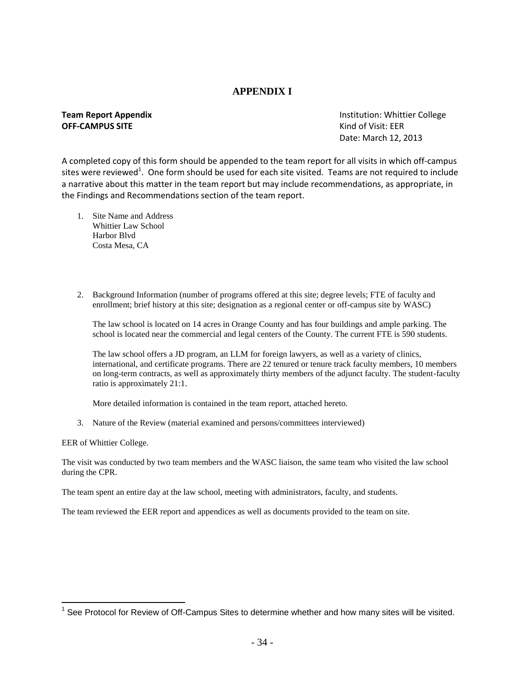# **APPENDIX I**

# **OFF-CAMPUS SITE CONSUMING OFF-CAMPUS SITE**

**Team Report Appendix Institution: Whittier College** Date: March 12, 2013

A completed copy of this form should be appended to the team report for all visits in which off-campus sites were reviewed<sup>1</sup>. One form should be used for each site visited. Teams are not required to include a narrative about this matter in the team report but may include recommendations, as appropriate, in the Findings and Recommendations section of the team report.

- 1. Site Name and Address Whittier Law School Harbor Blvd Costa Mesa, CA
- 2. Background Information (number of programs offered at this site; degree levels; FTE of faculty and enrollment; brief history at this site; designation as a regional center or off-campus site by WASC)

The law school is located on 14 acres in Orange County and has four buildings and ample parking. The school is located near the commercial and legal centers of the County. The current FTE is 590 students.

The law school offers a JD program, an LLM for foreign lawyers, as well as a variety of clinics, international, and certificate programs. There are 22 tenured or tenure track faculty members, 10 members on long-term contracts, as well as approximately thirty members of the adjunct faculty. The student-faculty ratio is approximately 21:1.

More detailed information is contained in the team report, attached hereto.

3. Nature of the Review (material examined and persons/committees interviewed)

EER of Whittier College.

 $\overline{a}$ 

The visit was conducted by two team members and the WASC liaison, the same team who visited the law school during the CPR.

The team spent an entire day at the law school, meeting with administrators, faculty, and students.

The team reviewed the EER report and appendices as well as documents provided to the team on site.

 $1$  See Protocol for Review of Off-Campus Sites to determine whether and how many sites will be visited.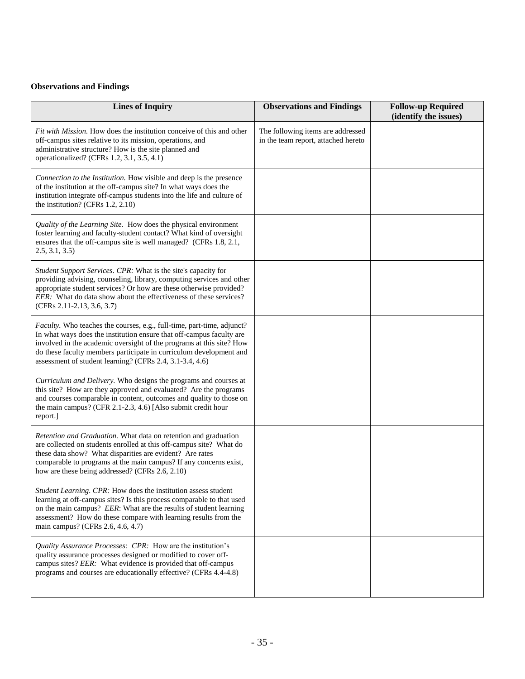# **Observations and Findings**

| <b>Lines of Inquiry</b>                                                                                                                                                                                                                                                                                                                                  | <b>Observations and Findings</b>                                         | <b>Follow-up Required</b><br>(identify the issues) |
|----------------------------------------------------------------------------------------------------------------------------------------------------------------------------------------------------------------------------------------------------------------------------------------------------------------------------------------------------------|--------------------------------------------------------------------------|----------------------------------------------------|
| Fit with Mission. How does the institution conceive of this and other<br>off-campus sites relative to its mission, operations, and<br>administrative structure? How is the site planned and<br>operationalized? (CFRs 1.2, 3.1, 3.5, 4.1)                                                                                                                | The following items are addressed<br>in the team report, attached hereto |                                                    |
| Connection to the Institution. How visible and deep is the presence<br>of the institution at the off-campus site? In what ways does the<br>institution integrate off-campus students into the life and culture of<br>the institution? (CFRs 1.2, 2.10)                                                                                                   |                                                                          |                                                    |
| Quality of the Learning Site. How does the physical environment<br>foster learning and faculty-student contact? What kind of oversight<br>ensures that the off-campus site is well managed? (CFRs 1.8, 2.1,<br>2.5, 3.1, 3.5)                                                                                                                            |                                                                          |                                                    |
| Student Support Services. CPR: What is the site's capacity for<br>providing advising, counseling, library, computing services and other<br>appropriate student services? Or how are these otherwise provided?<br>EER: What do data show about the effectiveness of these services?<br>(CFRs 2.11-2.13, 3.6, 3.7)                                         |                                                                          |                                                    |
| Faculty. Who teaches the courses, e.g., full-time, part-time, adjunct?<br>In what ways does the institution ensure that off-campus faculty are<br>involved in the academic oversight of the programs at this site? How<br>do these faculty members participate in curriculum development and<br>assessment of student learning? (CFRs 2.4, 3.1-3.4, 4.6) |                                                                          |                                                    |
| Curriculum and Delivery. Who designs the programs and courses at<br>this site? How are they approved and evaluated? Are the programs<br>and courses comparable in content, outcomes and quality to those on<br>the main campus? (CFR 2.1-2.3, 4.6) [Also submit credit hour<br>report.]                                                                  |                                                                          |                                                    |
| Retention and Graduation. What data on retention and graduation<br>are collected on students enrolled at this off-campus site? What do<br>these data show? What disparities are evident? Are rates<br>comparable to programs at the main campus? If any concerns exist,<br>how are these being addressed? (CFRs 2.6, 2.10)                               |                                                                          |                                                    |
| Student Learning. CPR: How does the institution assess student<br>learning at off-campus sites? Is this process comparable to that used<br>on the main campus? EER: What are the results of student learning<br>assessment? How do these compare with learning results from the<br>main campus? (CFRs 2.6, 4.6, 4.7)                                     |                                                                          |                                                    |
| Quality Assurance Processes: CPR: How are the institution's<br>quality assurance processes designed or modified to cover off-<br>campus sites? EER: What evidence is provided that off-campus<br>programs and courses are educationally effective? (CFRs 4.4-4.8)                                                                                        |                                                                          |                                                    |